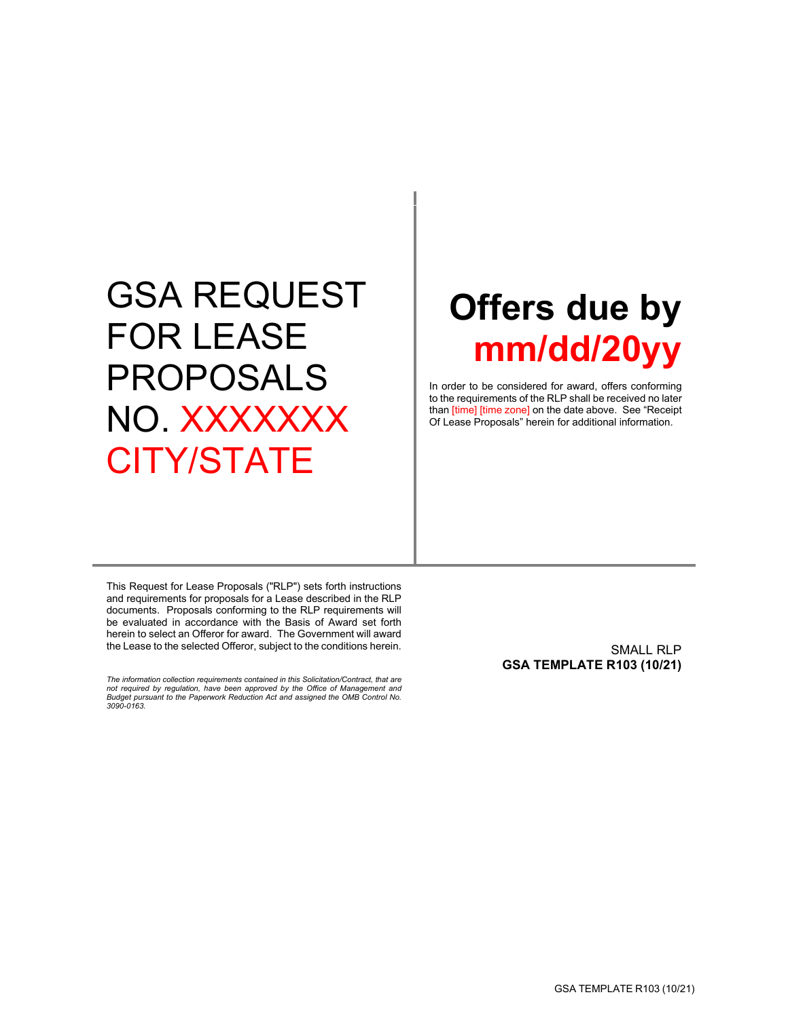# GSA REQUEST FOR LEASE PROPOSALS NO. XXXXXXX CITY/STATE

# **Offers due by mm/dd/20yy**

In order to be considered for award, offers conforming to the requirements of the RLP shall be received no later than [time] [time zone] on the date above. See "Receipt Of Lease Proposals" herein for additional information.

This Request for Lease Proposals ("RLP") sets forth instructions and requirements for proposals for a Lease described in the RLP documents. Proposals conforming to the RLP requirements will be evaluated in accordance with the Basis of Award set forth herein to select an Offeror for award. The Government will award the Lease to the selected Offeror, subject to the conditions herein.

*The information collection requirements contained in this Solicitation/Contract, that are not required by regulation, have been approved by the Office of Management and Budget pursuant to the Paperwork Reduction Act and assigned the OMB Control No. 3090-0163.*

SMALL RLP **GSA TEMPLATE R103 (10/21)**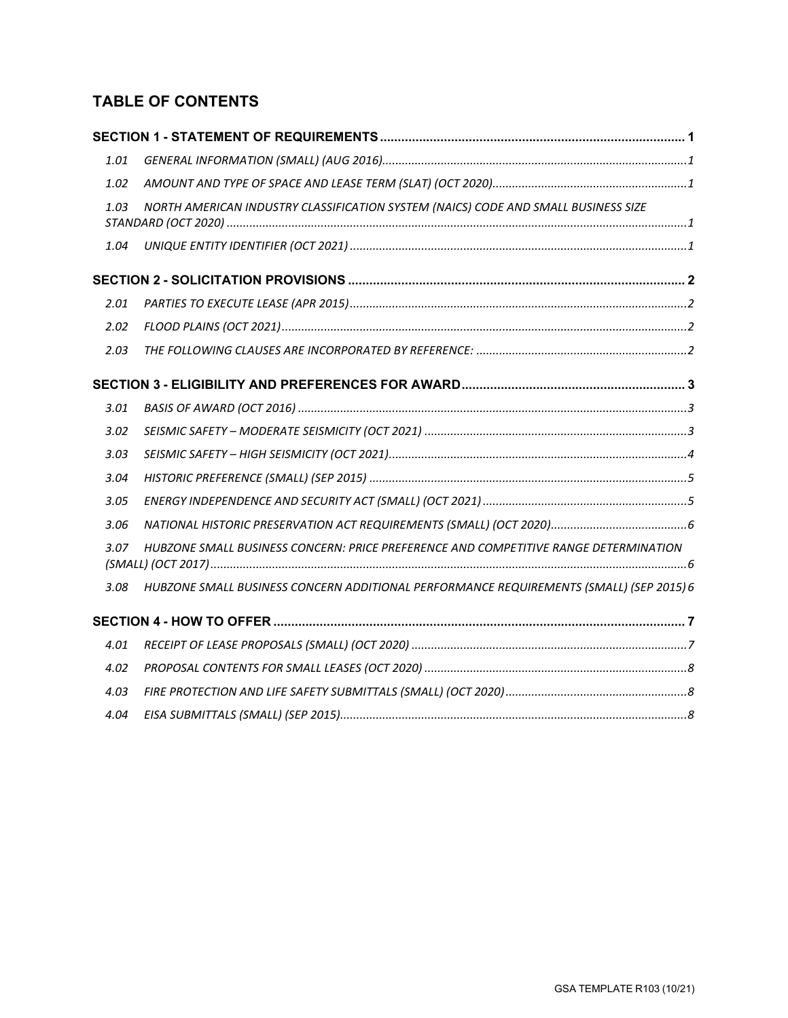# **TABLE OF CONTENTS**

| 1.01 |                                                                                         |  |
|------|-----------------------------------------------------------------------------------------|--|
| 1.02 |                                                                                         |  |
| 1.03 | NORTH AMERICAN INDUSTRY CLASSIFICATION SYSTEM (NAICS) CODE AND SMALL BUSINESS SIZE      |  |
| 1.04 |                                                                                         |  |
|      |                                                                                         |  |
| 2.01 |                                                                                         |  |
| 2.02 |                                                                                         |  |
| 2.03 |                                                                                         |  |
|      |                                                                                         |  |
| 3.01 |                                                                                         |  |
| 3.02 |                                                                                         |  |
| 3.03 |                                                                                         |  |
| 3.04 |                                                                                         |  |
| 3.05 |                                                                                         |  |
| 3.06 |                                                                                         |  |
| 3.07 | HUBZONE SMALL BUSINESS CONCERN: PRICE PREFERENCE AND COMPETITIVE RANGE DETERMINATION    |  |
| 3.08 | HUBZONE SMALL BUSINESS CONCERN ADDITIONAL PERFORMANCE REQUIREMENTS (SMALL) (SEP 2015) 6 |  |
|      |                                                                                         |  |
| 4.01 |                                                                                         |  |
| 4.02 |                                                                                         |  |
| 4.03 |                                                                                         |  |
| 4.04 |                                                                                         |  |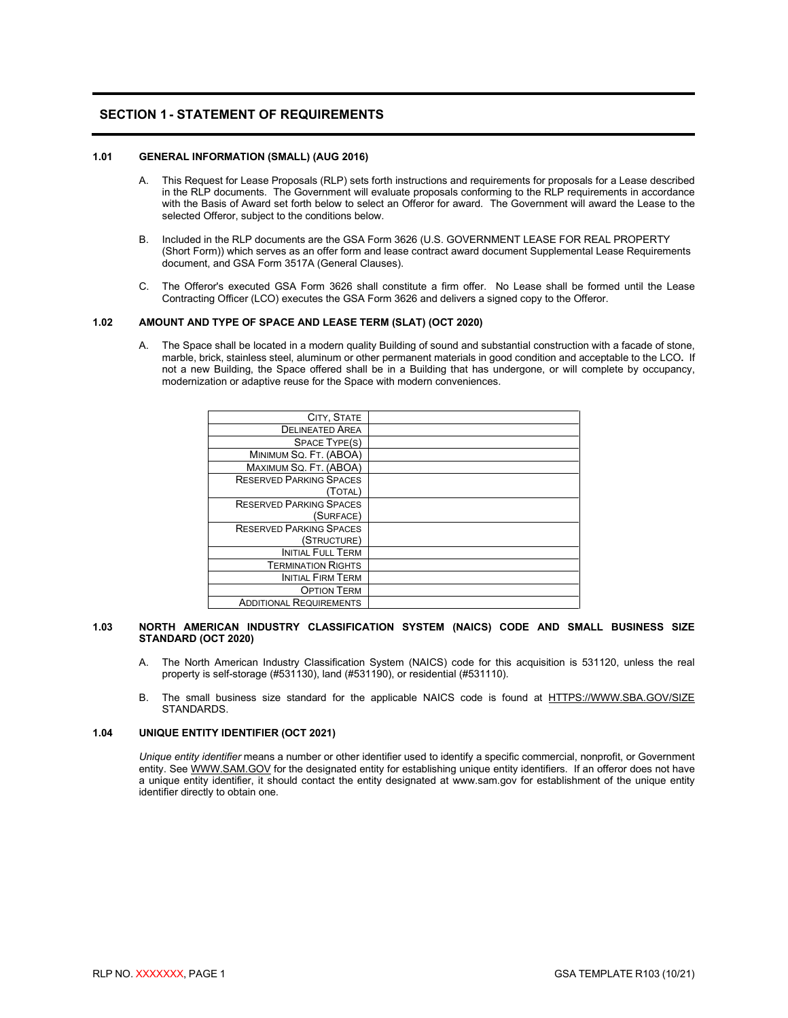# <span id="page-2-0"></span>**SECTION 1- STATEMENT OF REQUIREMENTS**

# <span id="page-2-1"></span>**1.01 GENERAL INFORMATION (SMALL) (AUG 2016)**

- A. This Request for Lease Proposals (RLP) sets forth instructions and requirements for proposals for a Lease described in the RLP documents. The Government will evaluate proposals conforming to the RLP requirements in accordance with the Basis of Award set forth below to select an Offeror for award. The Government will award the Lease to the selected Offeror, subject to the conditions below.
- B. Included in the RLP documents are the GSA Form 3626 (U.S. GOVERNMENT LEASE FOR REAL PROPERTY (Short Form)) which serves as an offer form and lease contract award document Supplemental Lease Requirements document, and GSA Form 3517A (General Clauses).
- C. The Offeror's executed GSA Form 3626 shall constitute a firm offer. No Lease shall be formed until the Lease Contracting Officer (LCO) executes the GSA Form 3626 and delivers a signed copy to the Offeror.

#### **1.02 AMOUNT AND TYPE OF SPACE AND LEASE TERM (SLAT) (OCT 2020)**

<span id="page-2-2"></span>A. The Space shall be located in a modern quality Building of sound and substantial construction with a facade of stone, marble, brick, stainless steel, aluminum or other permanent materials in good condition and acceptable to the LCO**.** If not a new Building, the Space offered shall be in a Building that has undergone, or will complete by occupancy, modernization or adaptive reuse for the Space with modern conveniences.

| CITY, STATE                    |  |
|--------------------------------|--|
| <b>DELINEATED AREA</b>         |  |
| <b>SPACE TYPE(S)</b>           |  |
| MINIMUM SQ. FT. (ABOA)         |  |
| MAXIMUM SQ. FT. (ABOA)         |  |
| <b>RESERVED PARKING SPACES</b> |  |
| (TOTAL)                        |  |
| <b>RESERVED PARKING SPACES</b> |  |
| (SURFACE)                      |  |
| <b>RESERVED PARKING SPACES</b> |  |
| (STRUCTURE)                    |  |
| <b>INITIAL FULL TERM</b>       |  |
| <b>TERMINATION RIGHTS</b>      |  |
| <b>INITIAL FIRM TERM</b>       |  |
| <b>OPTION TERM</b>             |  |
| <b>ADDITIONAL REQUIREMENTS</b> |  |

#### **1.03 NORTH AMERICAN INDUSTRY CLASSIFICATION SYSTEM (NAICS) CODE AND SMALL BUSINESS SIZE STANDARD (OCT 2020)**

- <span id="page-2-3"></span>A. The North American Industry Classification System (NAICS) code for this acquisition is 531120, unless the real property is self-storage (#531130), land (#531190), or residential (#531110).
- B. The small business size standard for the applicable NAICS code is found at [HTTPS://WWW.SBA.GOV/SIZE](https://www.sba.gov/SIZE) STANDARDS.

#### <span id="page-2-4"></span>**1.04 UNIQUE ENTITY IDENTIFIER (OCT 2021)**

*Unique entity identifier* means a number or other identifier used to identify a specific commercial, nonprofit, or Government entity. Se[e WWW.SAM.GOV](http://www.sam.gov/) for the designated entity for establishing unique entity identifiers. If an offeror does not have a unique entity identifier, it should contact the entity designated at www.sam.gov for establishment of the unique entity identifier directly to obtain one.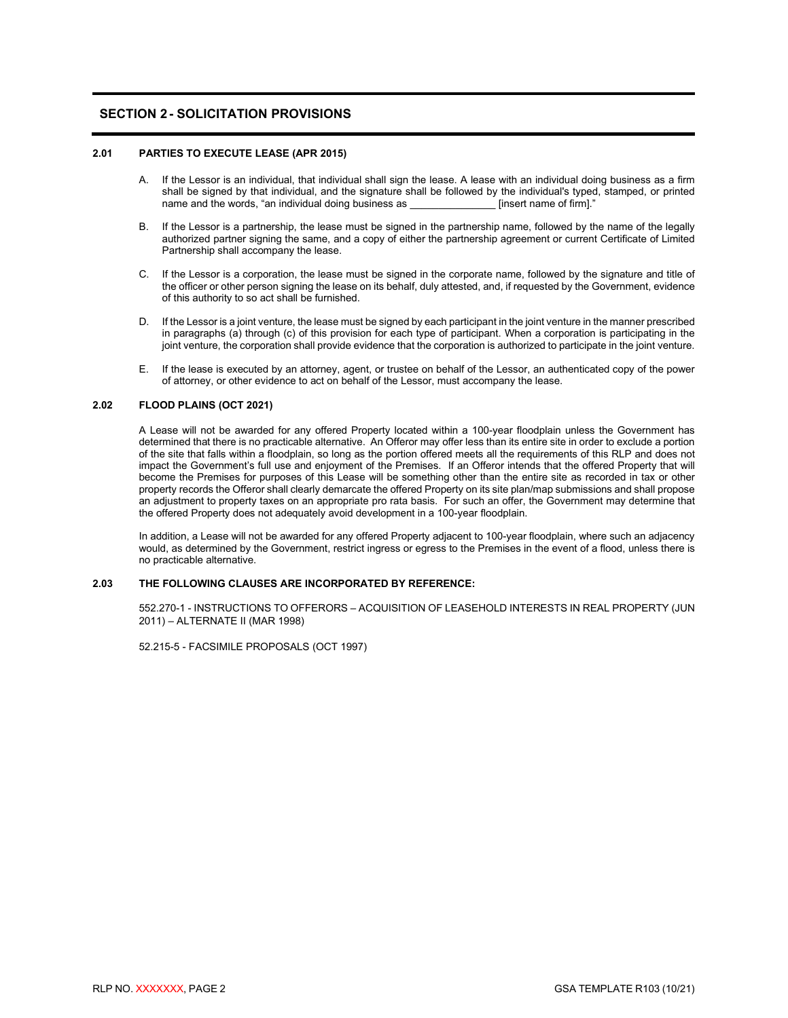# <span id="page-3-0"></span>**SECTION 2- SOLICITATION PROVISIONS**

#### <span id="page-3-1"></span>**2.01 PARTIES TO EXECUTE LEASE (APR 2015)**

- A. If the Lessor is an individual, that individual shall sign the lease. A lease with an individual doing business as a firm shall be signed by that individual, and the signature shall be followed by the individual's typed, stamped, or printed name and the words, "an individual doing business as [insert name of firm]." name and the words, "an individual doing business as
- B. If the Lessor is a partnership, the lease must be signed in the partnership name, followed by the name of the legally authorized partner signing the same, and a copy of either the partnership agreement or current Certificate of Limited Partnership shall accompany the lease.
- C. If the Lessor is a corporation, the lease must be signed in the corporate name, followed by the signature and title of the officer or other person signing the lease on its behalf, duly attested, and, if requested by the Government, evidence of this authority to so act shall be furnished.
- D. If the Lessor is a joint venture, the lease must be signed by each participant in the joint venture in the manner prescribed in paragraphs (a) through (c) of this provision for each type of participant. When a corporation is participating in the joint venture, the corporation shall provide evidence that the corporation is authorized to participate in the joint venture.
- E. If the lease is executed by an attorney, agent, or trustee on behalf of the Lessor, an authenticated copy of the power of attorney, or other evidence to act on behalf of the Lessor, must accompany the lease.

### **2.02 FLOOD PLAINS (OCT 2021)**

<span id="page-3-2"></span>A Lease will not be awarded for any offered Property located within a 100-year floodplain unless the Government has determined that there is no practicable alternative. An Offeror may offer less than its entire site in order to exclude a portion of the site that falls within a floodplain, so long as the portion offered meets all the requirements of this RLP and does not impact the Government's full use and enjoyment of the Premises. If an Offeror intends that the offered Property that will become the Premises for purposes of this Lease will be something other than the entire site as recorded in tax or other property records the Offeror shall clearly demarcate the offered Property on its site plan/map submissions and shall propose an adjustment to property taxes on an appropriate pro rata basis. For such an offer, the Government may determine that the offered Property does not adequately avoid development in a 100-year floodplain.

In addition, a Lease will not be awarded for any offered Property adjacent to 100-year floodplain, where such an adjacency would, as determined by the Government, restrict ingress or egress to the Premises in the event of a flood, unless there is no practicable alternative.

#### <span id="page-3-3"></span>**2.03 THE FOLLOWING CLAUSES ARE INCORPORATED BY REFERENCE:**

552.270-1 - INSTRUCTIONS TO OFFERORS – ACQUISITION OF LEASEHOLD INTERESTS IN REAL PROPERTY (JUN 2011) – ALTERNATE II (MAR 1998)

52.215-5 - FACSIMILE PROPOSALS (OCT 1997)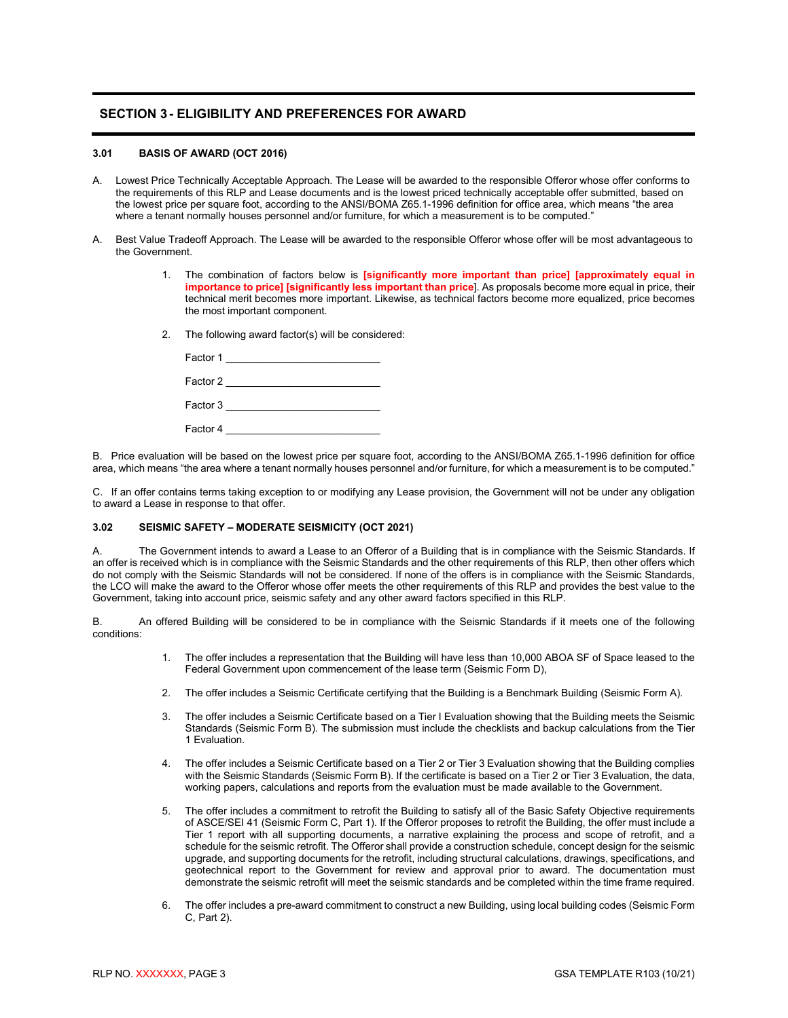# <span id="page-4-0"></span>**SECTION 3- ELIGIBILITY AND PREFERENCES FOR AWARD**

### <span id="page-4-1"></span>**3.01 BASIS OF AWARD (OCT 2016)**

- A. Lowest Price Technically Acceptable Approach. The Lease will be awarded to the responsible Offeror whose offer conforms to the requirements of this RLP and Lease documents and is the lowest priced technically acceptable offer submitted, based on the lowest price per square foot, according to the ANSI/BOMA Z65.1-1996 definition for office area, which means "the area where a tenant normally houses personnel and/or furniture, for which a measurement is to be computed."
- A. Best Value Tradeoff Approach. The Lease will be awarded to the responsible Offeror whose offer will be most advantageous to the Government.
	- 1. The combination of factors below is **[significantly more important than price] [approximately equal in importance to price] [significantly less important than price**]. As proposals become more equal in price, their technical merit becomes more important. Likewise, as technical factors become more equalized, price becomes the most important component.
	- 2. The following award factor(s) will be considered:

| Factor 1 |  |
|----------|--|
| Factor 2 |  |
| Factor 3 |  |
| Factor 4 |  |

B. Price evaluation will be based on the lowest price per square foot, according to the ANSI/BOMA Z65.1-1996 definition for office area, which means "the area where a tenant normally houses personnel and/or furniture, for which a measurement is to be computed."

C. If an offer contains terms taking exception to or modifying any Lease provision, the Government will not be under any obligation to award a Lease in response to that offer.

# <span id="page-4-2"></span>**3.02 SEISMIC SAFETY – MODERATE SEISMICITY (OCT 2021)**

A. The Government intends to award a Lease to an Offeror of a Building that is in compliance with the Seismic Standards. If an offer is received which is in compliance with the Seismic Standards and the other requirements of this RLP, then other offers which do not comply with the Seismic Standards will not be considered. If none of the offers is in compliance with the Seismic Standards, the LCO will make the award to the Offeror whose offer meets the other requirements of this RLP and provides the best value to the Government, taking into account price, seismic safety and any other award factors specified in this RLP.

B. An offered Building will be considered to be in compliance with the Seismic Standards if it meets one of the following conditions:

- 1. The offer includes a representation that the Building will have less than 10,000 ABOA SF of Space leased to the Federal Government upon commencement of the lease term (Seismic Form D),
- 2. The offer includes a Seismic Certificate certifying that the Building is a Benchmark Building (Seismic Form A).
- 3. The offer includes a Seismic Certificate based on a Tier I Evaluation showing that the Building meets the Seismic Standards (Seismic Form B). The submission must include the checklists and backup calculations from the Tier 1 Evaluation.
- 4. The offer includes a Seismic Certificate based on a Tier 2 or Tier 3 Evaluation showing that the Building complies with the Seismic Standards (Seismic Form B). If the certificate is based on a Tier 2 or Tier 3 Evaluation, the data, working papers, calculations and reports from the evaluation must be made available to the Government.
- 5. The offer includes a commitment to retrofit the Building to satisfy all of the Basic Safety Objective requirements of ASCE/SEI 41 (Seismic Form C, Part 1). If the Offeror proposes to retrofit the Building, the offer must include a Tier 1 report with all supporting documents, a narrative explaining the process and scope of retrofit, and a schedule for the seismic retrofit. The Offeror shall provide a construction schedule, concept design for the seismic upgrade, and supporting documents for the retrofit, including structural calculations, drawings, specifications, and geotechnical report to the Government for review and approval prior to award. The documentation must demonstrate the seismic retrofit will meet the seismic standards and be completed within the time frame required.
- 6. The offer includes a pre-award commitment to construct a new Building, using local building codes (Seismic Form C, Part 2).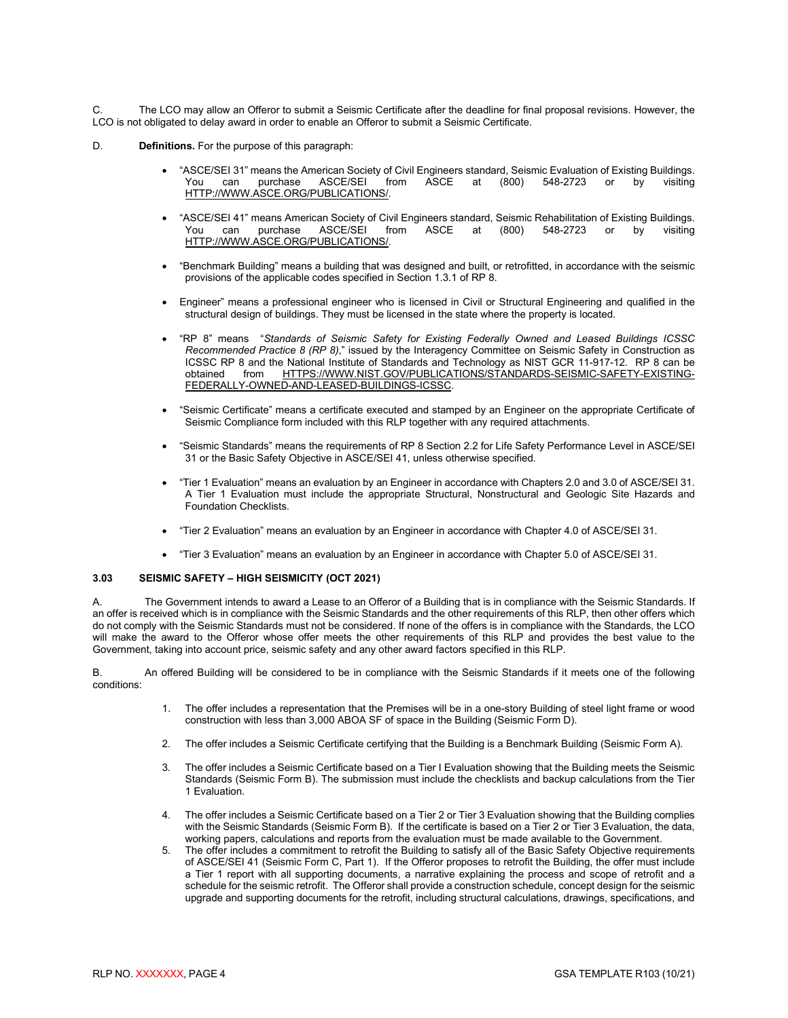C. The LCO may allow an Offeror to submit a Seismic Certificate after the deadline for final proposal revisions. However, the LCO is not obligated to delay award in order to enable an Offeror to submit a Seismic Certificate.

- D. **Definitions.** For the purpose of this paragraph:
	- "ASCE/SEI 31" means the American Society of Civil Engineers standard, Seismic Evaluation of Existing Buildings. You can purchase ASCE/SEI from ASCE at (800) 548-2723 or by visiting [HTTP://WWW.ASCE.ORG/PUBLICATIONS/.](http://www.asce.org/publications/)
	- "ASCE/SEI 41" means American Society of Civil Engineers standard, Seismic Rehabilitation of Existing Buildings. You can purchase ASCE/SEI from ASCE at (800) 548-2723 or by visiting [HTTP://WWW.ASCE.ORG/PUBLICATIONS/.](http://www.asce.org/publications/)
	- "Benchmark Building" means a building that was designed and built, or retrofitted, in accordance with the seismic provisions of the applicable codes specified in Section 1.3.1 of RP 8.
	- Engineer" means a professional engineer who is licensed in Civil or Structural Engineering and qualified in the structural design of buildings. They must be licensed in the state where the property is located.
	- "RP 8" means "*Standards of Seismic Safety for Existing Federally Owned and Leased Buildings ICSSC Recommended Practice 8 (RP 8)*," issued by the Interagency Committee on Seismic Safety in Construction as ICSSC RP 8 and the National Institute of Standards and Technology as NIST GCR 11-917-12. RP 8 can be obtained from [HTTPS://WWW.NIST.GOV/PUBLICATIONS/STANDARDS-SEISMIC-SAFETY-EXISTING-](https://www.nist.gov/publications/standards-seismic-safety-existing-federally-owned-and-leased-buildings-icssc)[FEDERALLY-OWNED-AND-LEASED-BUILDINGS-ICSSC.](https://www.nist.gov/publications/standards-seismic-safety-existing-federally-owned-and-leased-buildings-icssc)
	- "Seismic Certificate" means a certificate executed and stamped by an Engineer on the appropriate Certificate of Seismic Compliance form included with this RLP together with any required attachments.
	- "Seismic Standards" means the requirements of RP 8 Section 2.2 for Life Safety Performance Level in ASCE/SEI 31 or the Basic Safety Objective in ASCE/SEI 41, unless otherwise specified.
	- "Tier 1 Evaluation" means an evaluation by an Engineer in accordance with Chapters 2.0 and 3.0 of ASCE/SEI 31. A Tier 1 Evaluation must include the appropriate Structural, Nonstructural and Geologic Site Hazards and Foundation Checklists.
	- "Tier 2 Evaluation" means an evaluation by an Engineer in accordance with Chapter 4.0 of ASCE/SEI 31.
	- "Tier 3 Evaluation" means an evaluation by an Engineer in accordance with Chapter 5.0 of ASCE/SEI 31.

### <span id="page-5-0"></span>**3.03 SEISMIC SAFETY – HIGH SEISMICITY (OCT 2021)**

A. The Government intends to award a Lease to an Offeror of a Building that is in compliance with the Seismic Standards. If an offer is received which is in compliance with the Seismic Standards and the other requirements of this RLP, then other offers which do not comply with the Seismic Standards must not be considered. If none of the offers is in compliance with the Standards, the LCO will make the award to the Offeror whose offer meets the other requirements of this RLP and provides the best value to the Government, taking into account price, seismic safety and any other award factors specified in this RLP.

B. An offered Building will be considered to be in compliance with the Seismic Standards if it meets one of the following conditions:

- 1. The offer includes a representation that the Premises will be in a one-story Building of steel light frame or wood construction with less than 3,000 ABOA SF of space in the Building (Seismic Form D).
- 2. The offer includes a Seismic Certificate certifying that the Building is a Benchmark Building (Seismic Form A).
- 3. The offer includes a Seismic Certificate based on a Tier I Evaluation showing that the Building meets the Seismic Standards (Seismic Form B). The submission must include the checklists and backup calculations from the Tier 1 Evaluation.
- 4. The offer includes a Seismic Certificate based on a Tier 2 or Tier 3 Evaluation showing that the Building complies with the Seismic Standards (Seismic Form B). If the certificate is based on a Tier 2 or Tier 3 Evaluation, the data, working papers, calculations and reports from the evaluation must be made available to the Government.
- 5. The offer includes a commitment to retrofit the Building to satisfy all of the Basic Safety Objective requirements of ASCE/SEI 41 (Seismic Form C, Part 1). If the Offeror proposes to retrofit the Building, the offer must include a Tier 1 report with all supporting documents, a narrative explaining the process and scope of retrofit and a schedule for the seismic retrofit. The Offeror shall provide a construction schedule, concept design for the seismic upgrade and supporting documents for the retrofit, including structural calculations, drawings, specifications, and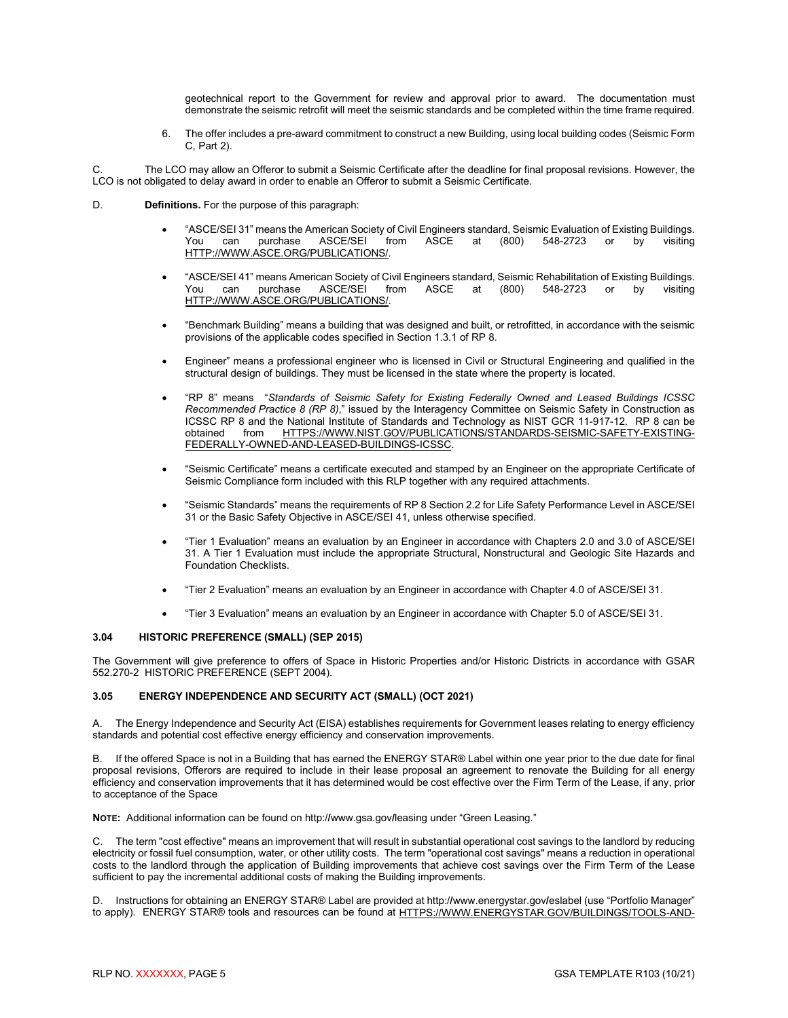geotechnical report to the Government for review and approval prior to award. The documentation must demonstrate the seismic retrofit will meet the seismic standards and be completed within the time frame required.

6. The offer includes a pre-award commitment to construct a new Building, using local building codes (Seismic Form C, Part 2).

The LCO may allow an Offeror to submit a Seismic Certificate after the deadline for final proposal revisions. However, the LCO is not obligated to delay award in order to enable an Offeror to submit a Seismic Certificate.

- D. **Definitions.** For the purpose of this paragraph:
	- "ASCE/SEI 31" means the American Society of Civil Engineers standard, Seismic Evaluation of Existing Buildings. You can purchase ASCE/SEI from ASCE at (800) [HTTP://WWW.ASCE.ORG/PUBLICATIONS/.](http://www.asce.org/publications/)
	- "ASCE/SEI 41" means American Society of Civil Engineers standard, Seismic Rehabilitation of Existing Buildings. You can purchase ASCE/SEI from ASCE at (800) 548-2723 or by visiting [HTTP://WWW.ASCE.ORG/PUBLICATIONS/.](http://www.asce.org/publications/)
	- "Benchmark Building" means a building that was designed and built, or retrofitted, in accordance with the seismic provisions of the applicable codes specified in Section 1.3.1 of RP 8.
	- Engineer" means a professional engineer who is licensed in Civil or Structural Engineering and qualified in the structural design of buildings. They must be licensed in the state where the property is located.
	- "RP 8" means "*Standards of Seismic Safety for Existing Federally Owned and Leased Buildings ICSSC Recommended Practice 8 (RP 8)*," issued by the Interagency Committee on Seismic Safety in Construction as ICSSC RP 8 and the National Institute of Standards and Technology as NIST GCR 11-917-12. RP 8 can be obtained from [HTTPS://WWW.NIST.GOV/PUBLICATIONS/STANDARDS-SEISMIC-SAFETY-EXISTING-](https://www.nist.gov/publications/standards-seismic-safety-existing-federally-owned-and-leased-buildings-icssc)[FEDERALLY-OWNED-AND-LEASED-BUILDINGS-ICSSC.](https://www.nist.gov/publications/standards-seismic-safety-existing-federally-owned-and-leased-buildings-icssc)
	- "Seismic Certificate" means a certificate executed and stamped by an Engineer on the appropriate Certificate of Seismic Compliance form included with this RLP together with any required attachments.
	- "Seismic Standards" means the requirements of RP 8 Section 2.2 for Life Safety Performance Level in ASCE/SEI 31 or the Basic Safety Objective in ASCE/SEI 41, unless otherwise specified.
	- "Tier 1 Evaluation" means an evaluation by an Engineer in accordance with Chapters 2.0 and 3.0 of ASCE/SEI 31. A Tier 1 Evaluation must include the appropriate Structural, Nonstructural and Geologic Site Hazards and Foundation Checklists.
	- "Tier 2 Evaluation" means an evaluation by an Engineer in accordance with Chapter 4.0 of ASCE/SEI 31.
	- "Tier 3 Evaluation" means an evaluation by an Engineer in accordance with Chapter 5.0 of ASCE/SEI 31.

#### <span id="page-6-0"></span>**3.04 HISTORIC PREFERENCE (SMALL) (SEP 2015)**

The Government will give preference to offers of Space in Historic Properties and/or Historic Districts in accordance with GSAR 552.270-2 HISTORIC PREFERENCE (SEPT 2004).

# <span id="page-6-1"></span>**3.05 ENERGY INDEPENDENCE AND SECURITY ACT (SMALL) (OCT 2021)**

A. The Energy Independence and Security Act (EISA) establishes requirements for Government leases relating to energy efficiency standards and potential cost effective energy efficiency and conservation improvements.

B. If the offered Space is not in a Building that has earned the ENERGY STAR® Label within one year prior to the due date for final proposal revisions, Offerors are required to include in their lease proposal an agreement to renovate the Building for all energy efficiency and conservation improvements that it has determined would be cost effective over the Firm Term of the Lease, if any, prior to acceptance of the Space

**NOTE:** Additional information can be found on http:/**/**www.gsa.gov**/**leasing under "Green Leasing."

C. The term "cost effective" means an improvement that will result in substantial operational cost savings to the landlord by reducing electricity or fossil fuel consumption, water, or other utility costs. The term "operational cost savings" means a reduction in operational costs to the landlord through the application of Building improvements that achieve cost savings over the Firm Term of the Lease sufficient to pay the incremental additional costs of making the Building improvements.

D. Instructions for obtaining an ENERGY STAR® Label are provided at http:/**/**www.energystar.gov**/**eslabel (use "Portfolio Manager" to apply). ENERGY STAR® tools and resources can be found at [HTTPS://WWW.ENERGYSTAR.GOV/BUILDINGS/TOOLS-AND-](https://www.energystar.gov/BUILDINGS/TOOLS-AND-RESOURCES)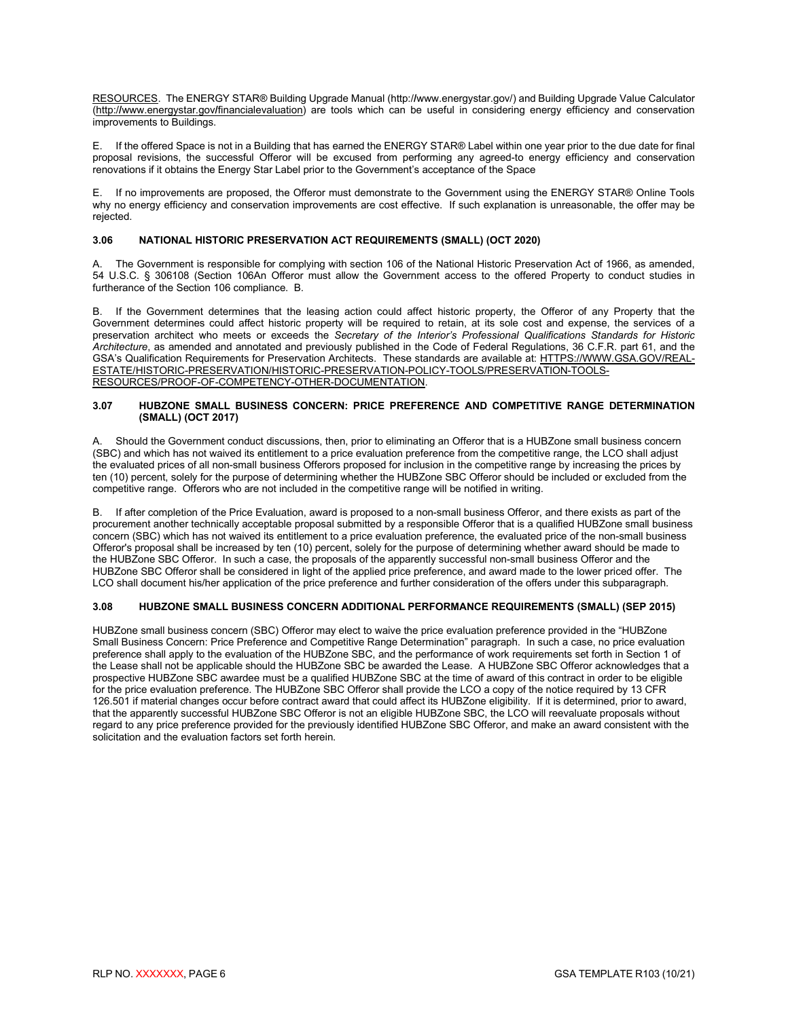[RESOURCES.](https://www.energystar.gov/BUILDINGS/TOOLS-AND-RESOURCES) The ENERGY STAR® Building Upgrade Manual (http:/**/**www.energystar.gov/) and Building Upgrade Value Calculator (http:/**/**www.energystar.gov**/**financialevaluation) are tools which can be useful in considering energy efficiency and conservation improvements to Buildings.

E. If the offered Space is not in a Building that has earned the ENERGY STAR® Label within one year prior to the due date for final proposal revisions, the successful Offeror will be excused from performing any agreed-to energy efficiency and conservation renovations if it obtains the Energy Star Label prior to the Government's acceptance of the Space

E. If no improvements are proposed, the Offeror must demonstrate to the Government using the ENERGY STAR® Online Tools why no energy efficiency and conservation improvements are cost effective. If such explanation is unreasonable, the offer may be rejected.

# <span id="page-7-0"></span>**3.06 NATIONAL HISTORIC PRESERVATION ACT REQUIREMENTS (SMALL) (OCT 2020)**

The Government is responsible for complying with section 106 of the National Historic Preservation Act of 1966, as amended, 54 U.S.C. § 306108 (Section 106An Offeror must allow the Government access to the offered Property to conduct studies in furtherance of the Section 106 compliance. B.

B. If the Government determines that the leasing action could affect historic property, the Offeror of any Property that the Government determines could affect historic property will be required to retain, at its sole cost and expense, the services of a preservation architect who meets or exceeds the *Secretary of the Interior's Professional Qualifications Standards for Historic Architecture*, as amended and annotated and previously published in the Code of Federal Regulations, 36 C.F.R. part 61, and the GSA's Qualification Requirements for Preservation Architects. These standards are available at[: HTTPS://WWW.GSA.GOV/REAL-](https://www.gsa.gov/real-estate/historic-preservation/historic-preservation-policy-tools/preservation-tools-resources/proof-of-competency-other-documentation)[ESTATE/HISTORIC-PRESERVATION/HISTORIC-PRESERVATION-POLICY-TOOLS/PRESERVATION-TOOLS-](https://www.gsa.gov/real-estate/historic-preservation/historic-preservation-policy-tools/preservation-tools-resources/proof-of-competency-other-documentation)[RESOURCES/PROOF-OF-COMPETENCY-OTHER-DOCUMENTATION.](https://www.gsa.gov/real-estate/historic-preservation/historic-preservation-policy-tools/preservation-tools-resources/proof-of-competency-other-documentation)

#### <span id="page-7-1"></span>**3.07 HUBZONE SMALL BUSINESS CONCERN: PRICE PREFERENCE AND COMPETITIVE RANGE DETERMINATION (SMALL) (OCT 2017)**

A. Should the Government conduct discussions, then, prior to eliminating an Offeror that is a HUBZone small business concern (SBC) and which has not waived its entitlement to a price evaluation preference from the competitive range, the LCO shall adjust the evaluated prices of all non-small business Offerors proposed for inclusion in the competitive range by increasing the prices by ten (10) percent, solely for the purpose of determining whether the HUBZone SBC Offeror should be included or excluded from the competitive range. Offerors who are not included in the competitive range will be notified in writing.

B. If after completion of the Price Evaluation, award is proposed to a non-small business Offeror, and there exists as part of the procurement another technically acceptable proposal submitted by a responsible Offeror that is a qualified HUBZone small business concern (SBC) which has not waived its entitlement to a price evaluation preference, the evaluated price of the non-small business Offeror's proposal shall be increased by ten (10) percent, solely for the purpose of determining whether award should be made to the HUBZone SBC Offeror. In such a case, the proposals of the apparently successful non-small business Offeror and the HUBZone SBC Offeror shall be considered in light of the applied price preference, and award made to the lower priced offer. The LCO shall document his/her application of the price preference and further consideration of the offers under this subparagraph.

### <span id="page-7-2"></span>**3.08 HUBZONE SMALL BUSINESS CONCERN ADDITIONAL PERFORMANCE REQUIREMENTS (SMALL) (SEP 2015)**

HUBZone small business concern (SBC) Offeror may elect to waive the price evaluation preference provided in the "HUBZone Small Business Concern: Price Preference and Competitive Range Determination" paragraph. In such a case, no price evaluation preference shall apply to the evaluation of the HUBZone SBC, and the performance of work requirements set forth in Section 1 of the Lease shall not be applicable should the HUBZone SBC be awarded the Lease. A HUBZone SBC Offeror acknowledges that a prospective HUBZone SBC awardee must be a qualified HUBZone SBC at the time of award of this contract in order to be eligible for the price evaluation preference. The HUBZone SBC Offeror shall provide the LCO a copy of the notice required by 13 CFR 126.501 if material changes occur before contract award that could affect its HUBZone eligibility. If it is determined, prior to award, that the apparently successful HUBZone SBC Offeror is not an eligible HUBZone SBC, the LCO will reevaluate proposals without regard to any price preference provided for the previously identified HUBZone SBC Offeror, and make an award consistent with the solicitation and the evaluation factors set forth herein.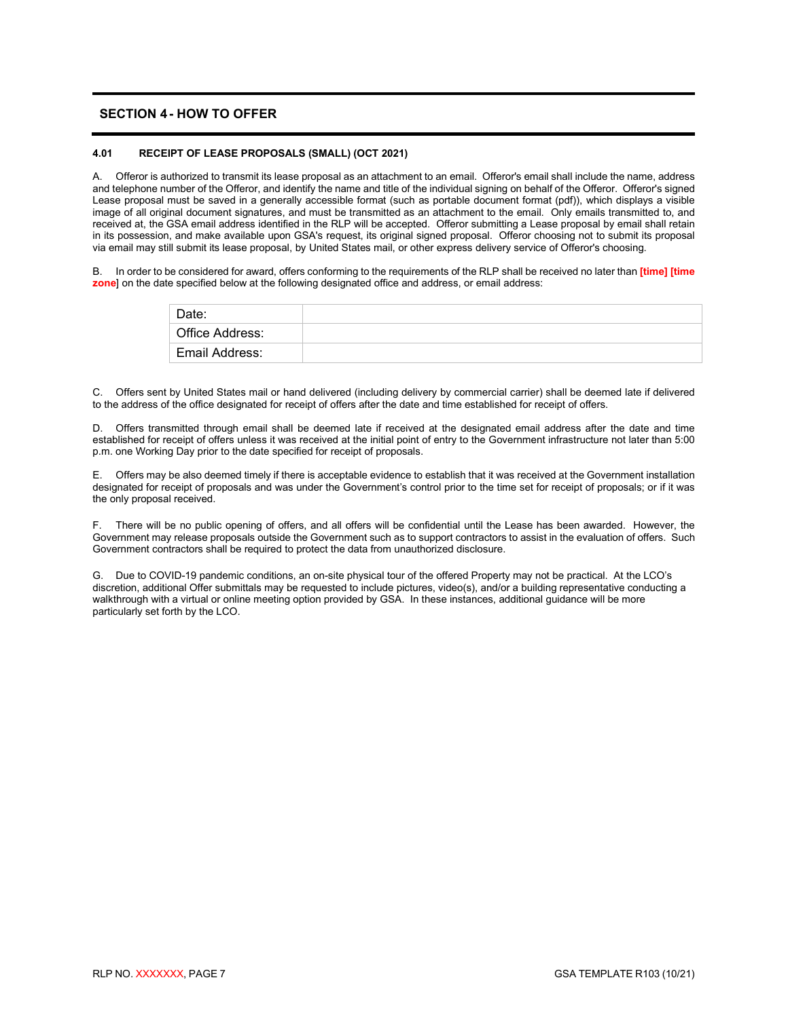# <span id="page-8-0"></span>**SECTION 4- HOW TO OFFER**

#### <span id="page-8-1"></span>**4.01 RECEIPT OF LEASE PROPOSALS (SMALL) (OCT 2021)**

A. Offeror is authorized to transmit its lease proposal as an attachment to an email. Offeror's email shall include the name, address and telephone number of the Offeror, and identify the name and title of the individual signing on behalf of the Offeror. Offeror's signed Lease proposal must be saved in a generally accessible format (such as portable document format (pdf)), which displays a visible image of all original document signatures, and must be transmitted as an attachment to the email. Only emails transmitted to, and received at, the GSA email address identified in the RLP will be accepted. Offeror submitting a Lease proposal by email shall retain in its possession, and make available upon GSA's request, its original signed proposal. Offeror choosing not to submit its proposal via email may still submit its lease proposal, by United States mail, or other express delivery service of Offeror's choosing.

B. In order to be considered for award, offers conforming to the requirements of the RLP shall be received no later than **[time] [time zone**] on the date specified below at the following designated office and address, or email address:

| Date:           |  |
|-----------------|--|
| Office Address: |  |
| Email Address:  |  |

C. Offers sent by United States mail or hand delivered (including delivery by commercial carrier) shall be deemed late if delivered to the address of the office designated for receipt of offers after the date and time established for receipt of offers.

D. Offers transmitted through email shall be deemed late if received at the designated email address after the date and time established for receipt of offers unless it was received at the initial point of entry to the Government infrastructure not later than 5:00 p.m. one Working Day prior to the date specified for receipt of proposals.

E. Offers may be also deemed timely if there is acceptable evidence to establish that it was received at the Government installation designated for receipt of proposals and was under the Government's control prior to the time set for receipt of proposals; or if it was the only proposal received.

F. There will be no public opening of offers, and all offers will be confidential until the Lease has been awarded. However, the Government may release proposals outside the Government such as to support contractors to assist in the evaluation of offers. Such Government contractors shall be required to protect the data from unauthorized disclosure.

G. Due to COVID-19 pandemic conditions, an on-site physical tour of the offered Property may not be practical. At the LCO's discretion, additional Offer submittals may be requested to include pictures, video(s), and/or a building representative conducting a walkthrough with a virtual or online meeting option provided by GSA. In these instances, additional guidance will be more particularly set forth by the LCO.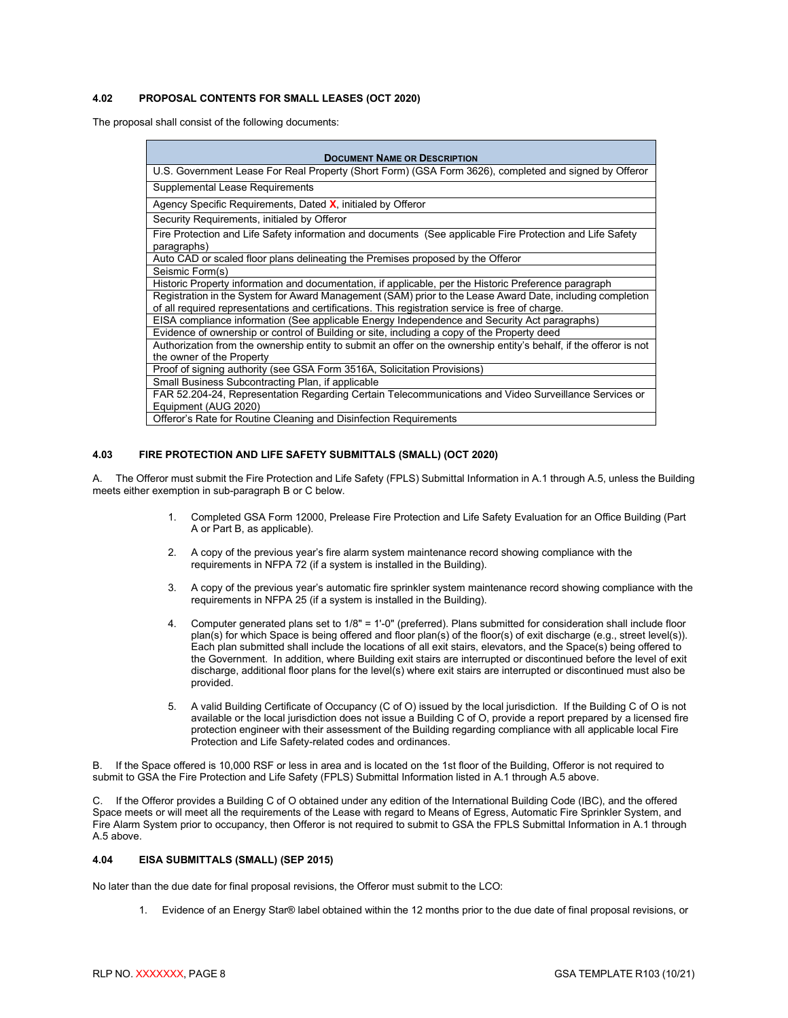# <span id="page-9-0"></span>**4.02 PROPOSAL CONTENTS FOR SMALL LEASES (OCT 2020)**

The proposal shall consist of the following documents:

| <b>DOCUMENT NAME OR DESCRIPTION</b>                                                                                                                                                                           |  |  |  |
|---------------------------------------------------------------------------------------------------------------------------------------------------------------------------------------------------------------|--|--|--|
| U.S. Government Lease For Real Property (Short Form) (GSA Form 3626), completed and signed by Offeror                                                                                                         |  |  |  |
| Supplemental Lease Requirements                                                                                                                                                                               |  |  |  |
| Agency Specific Requirements, Dated X, initialed by Offeror                                                                                                                                                   |  |  |  |
| Security Requirements, initialed by Offeror                                                                                                                                                                   |  |  |  |
| Fire Protection and Life Safety information and documents (See applicable Fire Protection and Life Safety<br>paragraphs)                                                                                      |  |  |  |
| Auto CAD or scaled floor plans delineating the Premises proposed by the Offeror                                                                                                                               |  |  |  |
| Seismic Form(s)                                                                                                                                                                                               |  |  |  |
| Historic Property information and documentation, if applicable, per the Historic Preference paragraph                                                                                                         |  |  |  |
| Registration in the System for Award Management (SAM) prior to the Lease Award Date, including completion<br>of all required representations and certifications. This registration service is free of charge. |  |  |  |
| EISA compliance information (See applicable Energy Independence and Security Act paragraphs)                                                                                                                  |  |  |  |
| Evidence of ownership or control of Building or site, including a copy of the Property deed                                                                                                                   |  |  |  |
| Authorization from the ownership entity to submit an offer on the ownership entity's behalf, if the offeror is not                                                                                            |  |  |  |
| the owner of the Property                                                                                                                                                                                     |  |  |  |
| Proof of signing authority (see GSA Form 3516A, Solicitation Provisions)                                                                                                                                      |  |  |  |
| Small Business Subcontracting Plan, if applicable                                                                                                                                                             |  |  |  |
| FAR 52.204-24, Representation Regarding Certain Telecommunications and Video Surveillance Services or                                                                                                         |  |  |  |
| Equipment (AUG 2020)                                                                                                                                                                                          |  |  |  |
| Offeror's Rate for Routine Cleaning and Disinfection Requirements                                                                                                                                             |  |  |  |

#### <span id="page-9-1"></span>**4.03 FIRE PROTECTION AND LIFE SAFETY SUBMITTALS (SMALL) (OCT 2020)**

A. The Offeror must submit the Fire Protection and Life Safety (FPLS) Submittal Information in A.1 through A.5, unless the Building meets either exemption in sub-paragraph B or C below.

- 1. Completed GSA Form 12000, Prelease Fire Protection and Life Safety Evaluation for an Office Building (Part A or Part B, as applicable).
- 2. A copy of the previous year's fire alarm system maintenance record showing compliance with the requirements in NFPA 72 (if a system is installed in the Building).
- 3. A copy of the previous year's automatic fire sprinkler system maintenance record showing compliance with the requirements in NFPA 25 (if a system is installed in the Building).
- 4. Computer generated plans set to 1/8" = 1'-0" (preferred). Plans submitted for consideration shall include floor plan(s) for which Space is being offered and floor plan(s) of the floor(s) of exit discharge (e.g., street level(s)). Each plan submitted shall include the locations of all exit stairs, elevators, and the Space(s) being offered to the Government. In addition, where Building exit stairs are interrupted or discontinued before the level of exit discharge, additional floor plans for the level(s) where exit stairs are interrupted or discontinued must also be provided.
- 5. A valid Building Certificate of Occupancy (C of O) issued by the local jurisdiction. If the Building C of O is not available or the local jurisdiction does not issue a Building C of O, provide a report prepared by a licensed fire protection engineer with their assessment of the Building regarding compliance with all applicable local Fire Protection and Life Safety-related codes and ordinances.

B. If the Space offered is 10,000 RSF or less in area and is located on the 1st floor of the Building, Offeror is not required to submit to GSA the Fire Protection and Life Safety (FPLS) Submittal Information listed in A.1 through A.5 above.

C. If the Offeror provides a Building C of O obtained under any edition of the International Building Code (IBC), and the offered Space meets or will meet all the requirements of the Lease with regard to Means of Egress, Automatic Fire Sprinkler System, and Fire Alarm System prior to occupancy, then Offeror is not required to submit to GSA the FPLS Submittal Information in A.1 through A.5 above.

#### <span id="page-9-2"></span>**4.04 EISA SUBMITTALS (SMALL) (SEP 2015)**

No later than the due date for final proposal revisions, the Offeror must submit to the LCO:

1. Evidence of an Energy Star® label obtained within the 12 months prior to the due date of final proposal revisions, or